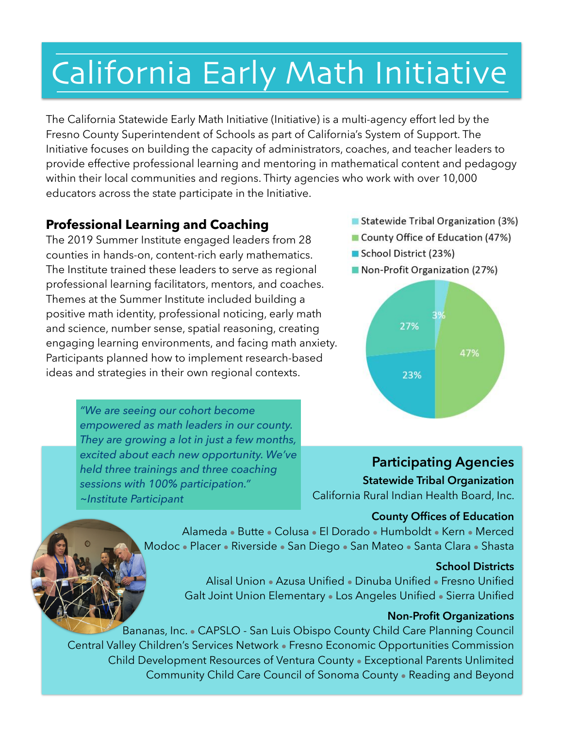# California Early Math Initiative

The California Statewide Early Math Initiative (Initiative) is a multi-agency effort led by the Fresno County Superintendent of Schools as part of California's System of Support. The Initiative focuses on building the capacity of administrators, coaches, and teacher leaders to provide effective professional learning and mentoring in mathematical content and pedagogy within their local communities and regions. Thirty agencies who work with over 10,000 educators across the state participate in the Initiative.

### **Professional Learning and Coaching**

 counties in hands-on, content-rich early mathematics. ideas and strategies in their own regional contexts. The 2019 Summer Institute engaged leaders from 28 The Institute trained these leaders to serve as regional professional learning facilitators, mentors, and coaches. Themes at the Summer Institute included building a positive math identity, professional noticing, early math and science, number sense, spatial reasoning, creating engaging learning environments, and facing math anxiety. Participants planned how to implement research-based

> *"We are seeing our cohort become empowered as math leaders in our county. They are growing a lot in just a few months, excited about each new opportunity. We've held three trainings and three coaching sessions with 100% participation." ~Institute Participant*

- Statewide Tribal Organization (3%)
- County Office of Education (47%)
- School District (23%)
- Non-Profit Organization (27%)



**Participating Agencies** 

**Statewide Tribal Organization**  California Rural Indian Health Board, Inc.

#### **County Offices of Education**

Alameda • Butte • Colusa • El Dorado • Humboldt • Kern • Merced Modoc • Placer • Riverside • San Diego • San Mateo • Santa Clara • Shasta

#### **School Districts**

Alisal Union • Azusa Unified • Dinuba Unified • Fresno Unified Galt Joint Union Elementary • Los Angeles Unified • Sierra Unified

#### **Non-Profit Organizations**

Bananas, Inc. • CAPSLO - San Luis Obispo County Child Care Planning Council Central Valley Children's Services Network • Fresno Economic Opportunities Commission Child Development Resources of Ventura County • Exceptional Parents Unlimited Community Child Care Council of Sonoma County • Reading and Beyond